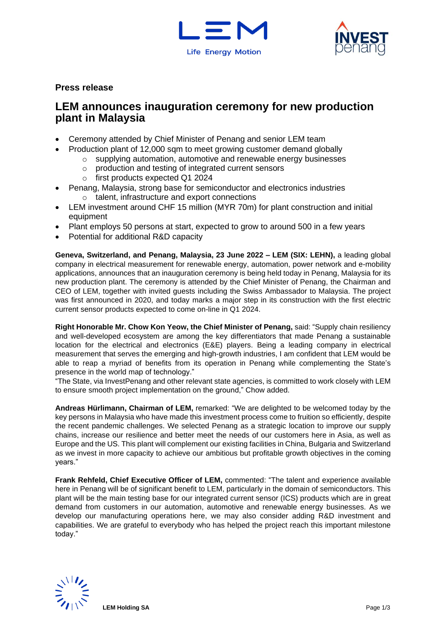



# **Press release**

# **LEM announces inauguration ceremony for new production plant in Malaysia**

- Ceremony attended by Chief Minister of Penang and senior LEM team
- Production plant of 12,000 sqm to meet growing customer demand globally
	- o supplying automation, automotive and renewable energy businesses
	- o production and testing of integrated current sensors
	- o first products expected Q1 2024
- Penang, Malaysia, strong base for semiconductor and electronics industries o talent, infrastructure and export connections
- LEM investment around CHF 15 million (MYR 70m) for plant construction and initial equipment
- Plant employs 50 persons at start, expected to grow to around 500 in a few years
- Potential for additional R&D capacity

**Geneva, Switzerland, and Penang, Malaysia, 23 June 2022 – LEM (SIX: LEHN),** a leading global company in electrical measurement for renewable energy, automation, power network and e-mobility applications, announces that an inauguration ceremony is being held today in Penang, Malaysia for its new production plant. The ceremony is attended by the Chief Minister of Penang, the Chairman and CEO of LEM, together with invited guests including the Swiss Ambassador to Malaysia. The project was first announced in 2020, and today marks a major step in its construction with the first electric current sensor products expected to come on-line in Q1 2024.

**Right Honorable Mr. Chow Kon Yeow, the Chief Minister of Penang,** said: "Supply chain resiliency and well-developed ecosystem are among the key differentiators that made Penang a sustainable location for the electrical and electronics (E&E) players. Being a leading company in electrical measurement that serves the emerging and high-growth industries, I am confident that LEM would be able to reap a myriad of benefits from its operation in Penang while complementing the State's presence in the world map of technology."

"The State, via InvestPenang and other relevant state agencies, is committed to work closely with LEM to ensure smooth project implementation on the ground," Chow added.

**Andreas Hürlimann, Chairman of LEM,** remarked: "We are delighted to be welcomed today by the key persons in Malaysia who have made this investment process come to fruition so efficiently, despite the recent pandemic challenges. We selected Penang as a strategic location to improve our supply chains, increase our resilience and better meet the needs of our customers here in Asia, as well as Europe and the US. This plant will complement our existing facilities in China, Bulgaria and Switzerland as we invest in more capacity to achieve our ambitious but profitable growth objectives in the coming years."

**Frank Rehfeld, Chief Executive Officer of LEM,** commented: "The talent and experience available here in Penang will be of significant benefit to LEM, particularly in the domain of semiconductors. This plant will be the main testing base for our integrated current sensor (ICS) products which are in great demand from customers in our automation, automotive and renewable energy businesses. As we develop our manufacturing operations here, we may also consider adding R&D investment and capabilities. We are grateful to everybody who has helped the project reach this important milestone today."

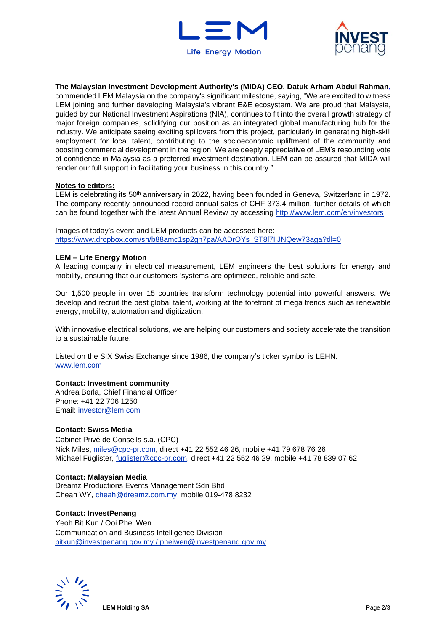



**The Malaysian Investment Development Authority's (MIDA) CEO, Datuk Arham Abdul Rahman,** commended LEM Malaysia on the company's significant milestone, saying, "We are excited to witness LEM joining and further developing Malaysia's vibrant E&E ecosystem. We are proud that Malaysia, guided by our National Investment Aspirations (NIA), continues to fit into the overall growth strategy of major foreign companies, solidifying our position as an integrated global manufacturing hub for the industry. We anticipate seeing exciting spillovers from this project, particularly in generating high-skill employment for local talent, contributing to the socioeconomic upliftment of the community and boosting commercial development in the region. We are deeply appreciative of LEM's resounding vote of confidence in Malaysia as a preferred investment destination. LEM can be assured that MIDA will render our full support in facilitating your business in this country."

### **Notes to editors:**

LEM is celebrating its 50<sup>th</sup> anniversary in 2022, having been founded in Geneva, Switzerland in 1972. The company recently announced record annual sales of CHF 373.4 million, further details of which can be found together with the latest Annual Review by accessing <http://www.lem.com/en/investors>

Images of today's event and LEM products can be accessed here: [https://www.dropbox.com/sh/b88amc1sp2gn7pa/AADrOYs\\_ST8l7IjJNQew73aga?dl=0](https://www.dropbox.com/sh/b88amc1sp2gn7pa/AADrOYs_ST8l7IjJNQew73aga?dl=0)

### **LEM – Life Energy Motion**

A leading company in electrical measurement, LEM engineers the best solutions for energy and mobility, ensuring that our customers 'systems are optimized, reliable and safe.

Our 1,500 people in over 15 countries transform technology potential into powerful answers. We develop and recruit the best global talent, working at the forefront of mega trends such as renewable energy, mobility, automation and digitization.

With innovative electrical solutions, we are helping our customers and society accelerate the transition to a sustainable future.

Listed on the SIX Swiss Exchange since 1986, the company's ticker symbol is LEHN. [www.lem.com](http://www.lem.com/)

#### **Contact: Investment community**

Andrea Borla, Chief Financial Officer Phone: +41 22 706 1250 Email: [investor@lem.com](mailto:investor@lem.com) 

# **Contact: Swiss Media**

Cabinet Privé de Conseils s.a. (CPC) Nick Miles, [miles@cpc-pr.com,](mailto:miles@cpc-pr.com) direct +41 22 552 46 26, mobile +41 79 678 76 26 Michael Füglister, [fuglister@cpc-pr.com,](mailto:fuglister@cpc-pr.com) direct +41 22 552 46 29, mobile +41 78 839 07 62

#### **Contact: Malaysian Media**

Dreamz Productions Events Management Sdn Bhd Cheah WY, [cheah@dreamz.com.my,](mailto:cheah@dreamz.com.my) mobile 019-478 8232

### **Contact: InvestPenang**

Yeoh Bit Kun / Ooi Phei Wen Communication and Business Intelligence Division [bitkun@investpenang.gov.my](mailto:bitkun@investpenang.gov.my) / [pheiwen@investpenang.gov.my](mailto:pheiwen@investpenang.gov.my)